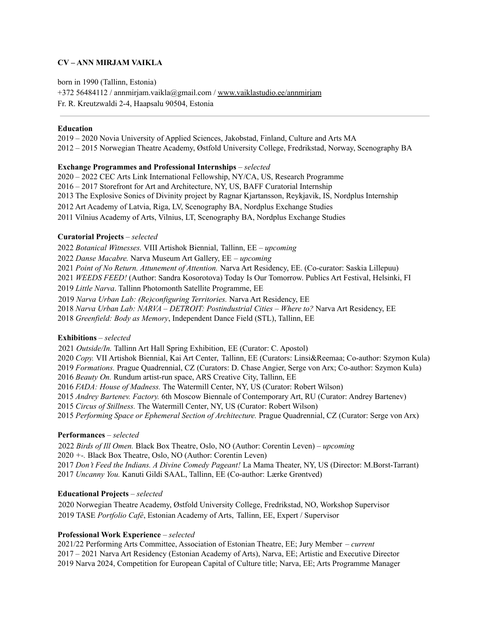# **CV – ANN MIRJAM VAIKLA**

born in 1990 (Tallinn, Estonia) +372 56484112 / annmirjam.vaikla@gmail.com / [www.vaiklastudio.ee/annmirjam](http://www.vaiklastudio.ee/annmirjam) Fr. R. Kreutzwaldi 2-4, Haapsalu 90504, Estonia

#### **Education**

 – 2020 Novia University of Applied Sciences, Jakobstad, Finland, Culture and Arts MA – 2015 Norwegian Theatre Academy, Østfold University College, Fredrikstad, Norway, Scenography BA

## **Exchange Programmes and Professional Internships** *– selected*

 – 2022 CEC Arts Link International Fellowship, NY/CA, US, Research Programme – 2017 Storefront for Art and Architecture, NY, US, BAFF Curatorial Internship The Explosive Sonics of Divinity project by Ragnar Kjartansson, Reykjavik, IS, Nordplus Internship Art Academy of Latvia, Riga, LV, Scenography BA, Nordplus Exchange Studies Vilnius Academy of Arts, Vilnius, LT, Scenography BA, Nordplus Exchange Studies

### **Curatorial Projects** *– selected*

 *Botanical Witnesses.* VIII Artishok Biennial, Tallinn, EE *– upcoming Danse Macabre.* Narva Museum Art Gallery, EE *– upcoming Point of No Return. Attunement of Attention.* Narva Art Residency, EE. (Co-curator: Saskia Lillepuu) *WEEDS FEED!* (Author: Sandra Kosorotova) Today Is Our Tomorrow. Publics Art Festival, Helsinki, FI *Little Narva*. Tallinn Photomonth Satellite Programme, EE *Narva Urban Lab: (Re)configuring Territories.* Narva Art Residency, EE *Narva Urban Lab: NARVA – DETROIT: Postindustrial Cities – Where to?* Narva Art Residency, EE *Greenfield: Body as Memory*, Independent Dance Field (STL), Tallinn, EE

### **Exhibitions** *– selected*

 *Outside/In.* Tallinn Art Hall Spring Exhibition, EE (Curator: C. Apostol) *Copy.* VII Artishok Biennial, Kai Art Center, Tallinn, EE (Curators: Linsi&Reemaa; Co-author: Szymon Kula) *Formations.* Prague Quadrennial, CZ (Curators: D. Chase Angier, Serge von Arx; Co-author: Szymon Kula) *Beauty On.* Rundum artist-run space, ARS Creative City, Tallinn, EE *FADA: House of Madness.* The Watermill Center, NY, US (Curator: Robert Wilson) *Andrey Bartenev. Factory.* 6th Moscow Biennale of Contemporary Art, RU (Curator: Andrey Bartenev) *Circus of Stillness.* The Watermill Center, NY, US (Curator: Robert Wilson) *Performing Space or Ephemeral Section of Architecture.* Prague Quadrennial, CZ (Curator: Serge von Arx)

# **Performances** *– selected*

 *Birds of Ill Omen.* Black Box Theatre, Oslo, NO (Author: Corentin Leven) *– upcoming +-.* Black Box Theatre, Oslo, NO (Author: Corentin Leven) *Don't Feed the Indians. A Divine Comedy Pageant!* La Mama Theater, NY, US (Director: M.Borst-Tarrant) *Uncanny You.* Kanuti Gildi SAAL, Tallinn, EE (Co-author: Lærke Grøntved)

### **Educational Projects** *– selected*

 Norwegian Theatre Academy, Østfold University College, Fredrikstad, NO, Workshop Supervisor TASE *Portfolio Café*, Estonian Academy of Arts, Tallinn, EE, Expert / Supervisor

### **Professional Work Experience** *– selected*

2021/22 Performing Arts Committee, Association of Estonian Theatre, EE; Jury Member *– current* – 2021 Narva Art Residency (Estonian Academy of Arts), Narva, EE; Artistic and Executive Director Narva 2024, Competition for European Capital of Culture title; Narva, EE; Arts Programme Manager